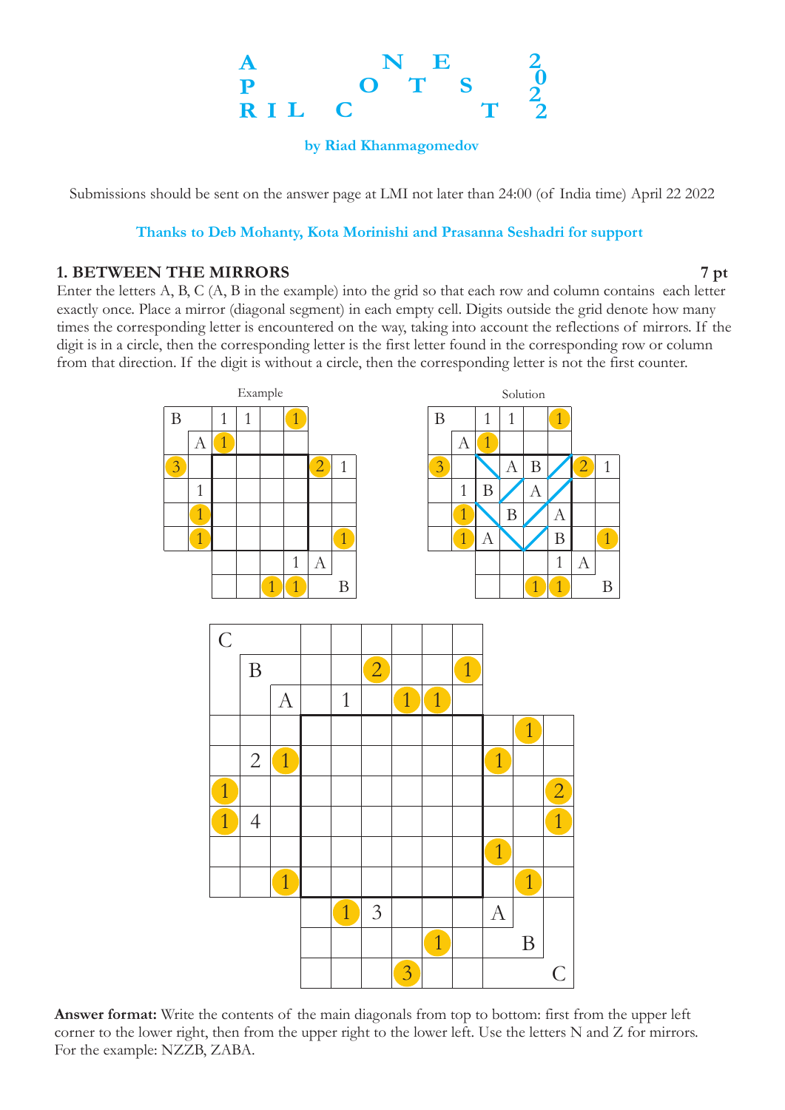#### **A P R I L C O N T E S T 2 2 0 2**

**by Riad Khanmagomedov**

Submissions should be sent on the answer page at LMI not later than 24:00 (of India time) April 22 2022

#### **Thanks to Deb Mohanty, Kota Morinishi and Prasanna Seshadri for support**

#### **1. BETWEEN THE MIRRORS 7 pt**

Enter the letters A, B, C (A, B in the example) into the grid so that each row and column contains each letter exactly once. Place a mirror (diagonal segment) in each empty cell. Digits outside the grid denote how many times the corresponding letter is encountered on the way, taking into account the reflections of mirrors. If the digit is in a circle, then the corresponding letter is the first letter found in the corresponding row or column from that direction. If the digit is without a circle, then the corresponding letter is not the first counter.



**Answer format:** Write the contents of the main diagonals from top to bottom: first from the upper left corner to the lower right, then from the upper right to the lower left. Use the letters N and Z for mirrors. For the example: NZZB, ZABA.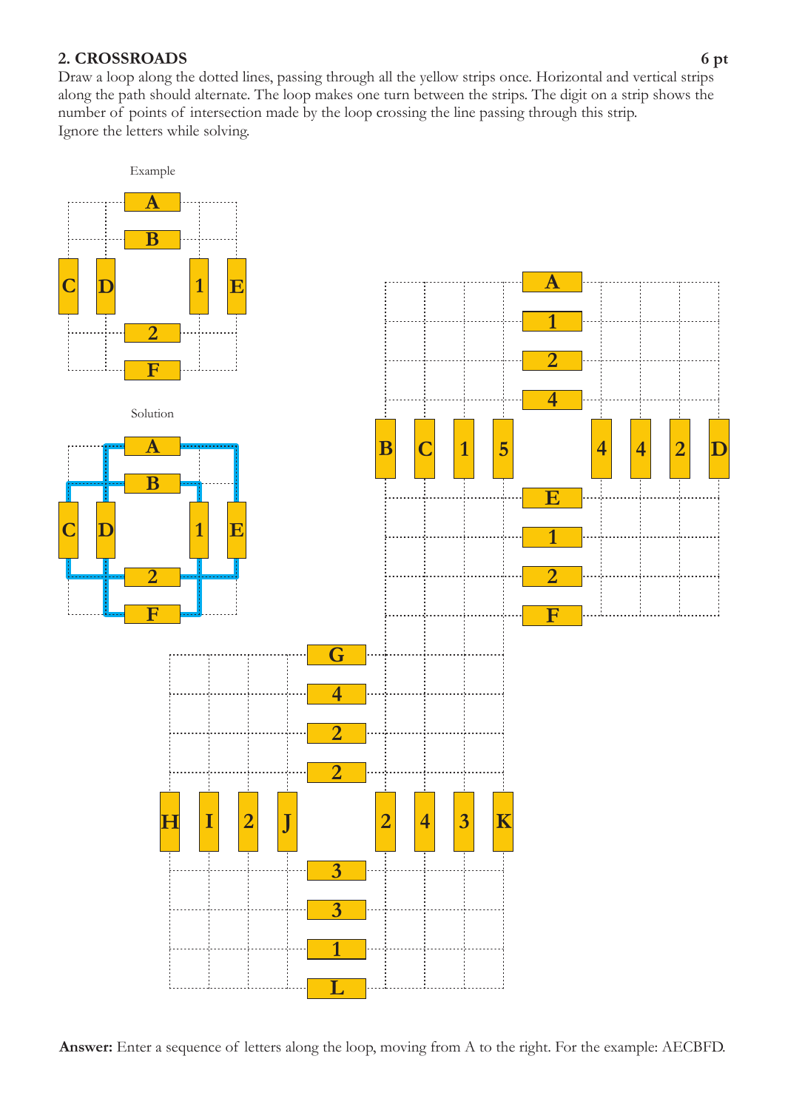# **2 C. ROSSROADS 6 pt**

Ignore the letters while solving. Draw a loop along the dotted lines, passing through all the yellow strips once. Horizontal and vertical strips along the path should alternate. The loop makes one turn between the strips. The digit on a strip shows the number of points of intersection made by the loop crossing the line passing through this strip.



Answer: Enter a sequence of letters along the loop, moving from A to the right. For the example: AECBFD.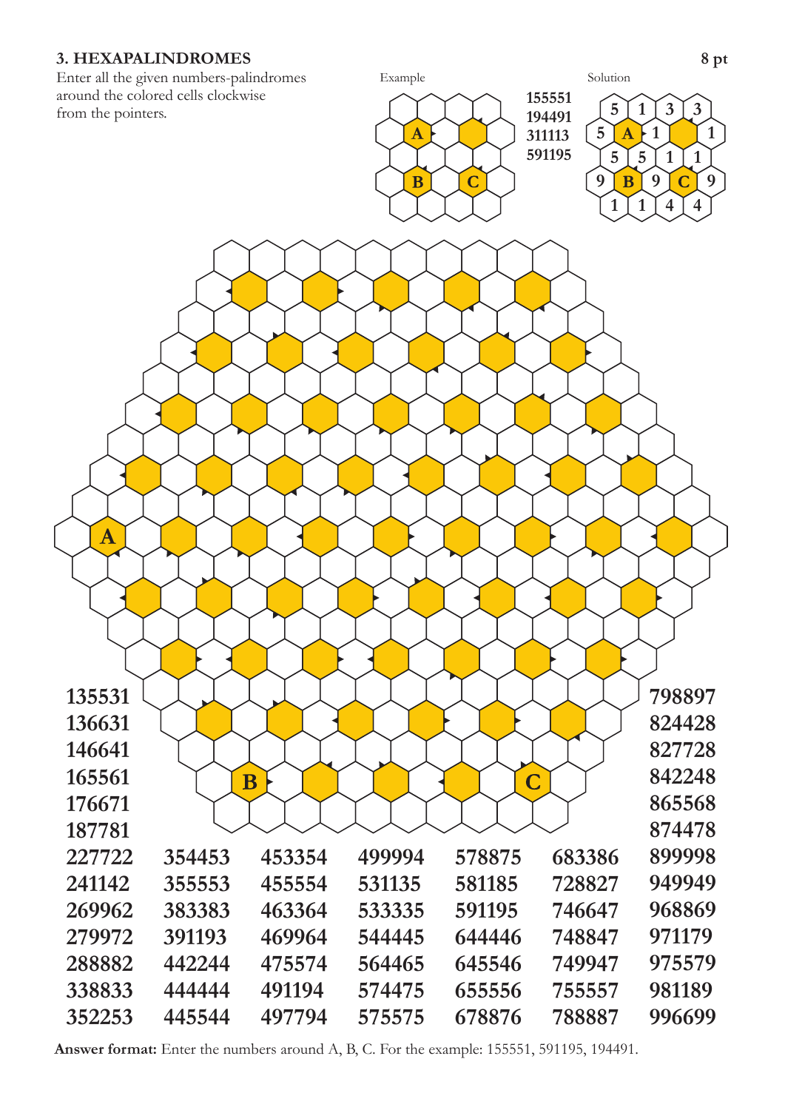# **3. HEXAPALINDROMES** 8 pt

Enter all the given numbers-palindromes around the colored cells clockwise from the pointers.



**Answer format:** Enter the numbers around A, B, C. For the example: 155551, 591195, 194491.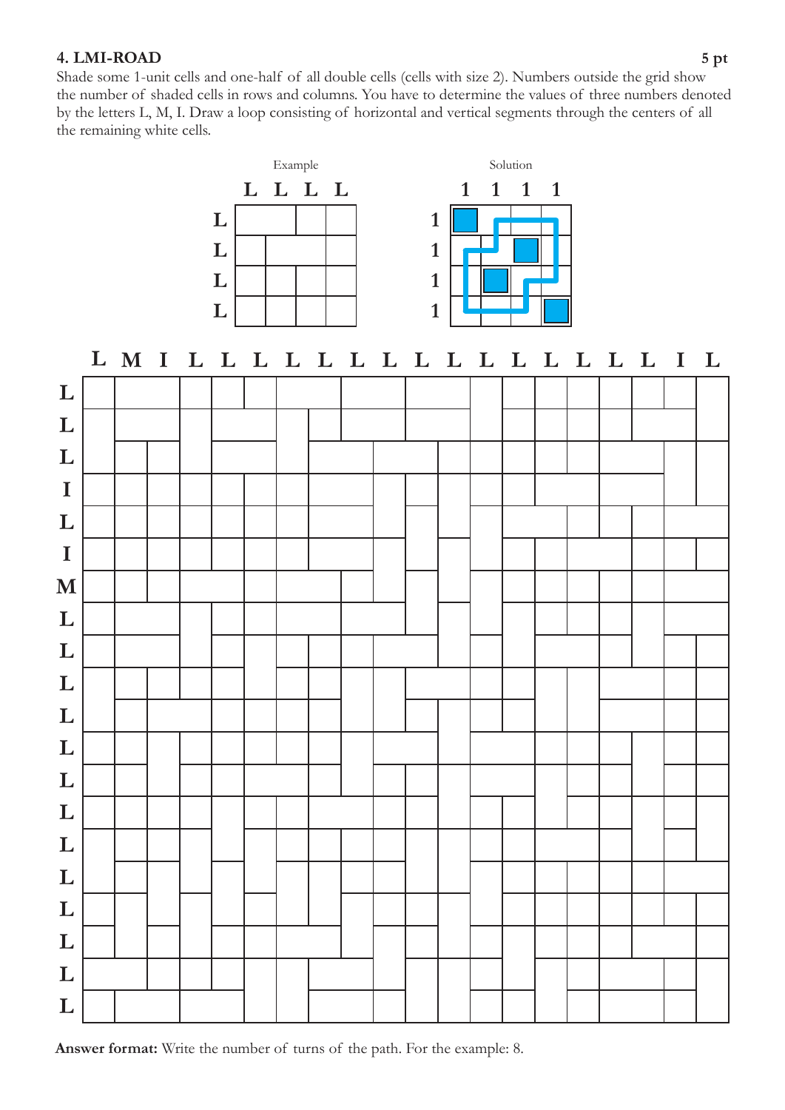# **4. LMI-ROAD 5 pt**

Shade some 1-unit cells and one-half of all double cells (cells with size 2). Numbers outside the grid show the number of shaded cells in rows and columns. You have to determine the values of three numbers denoted by the letters L, M, I. Draw a loop consisting of horizontal and vertical segments through the centers of all the remaining white cells.

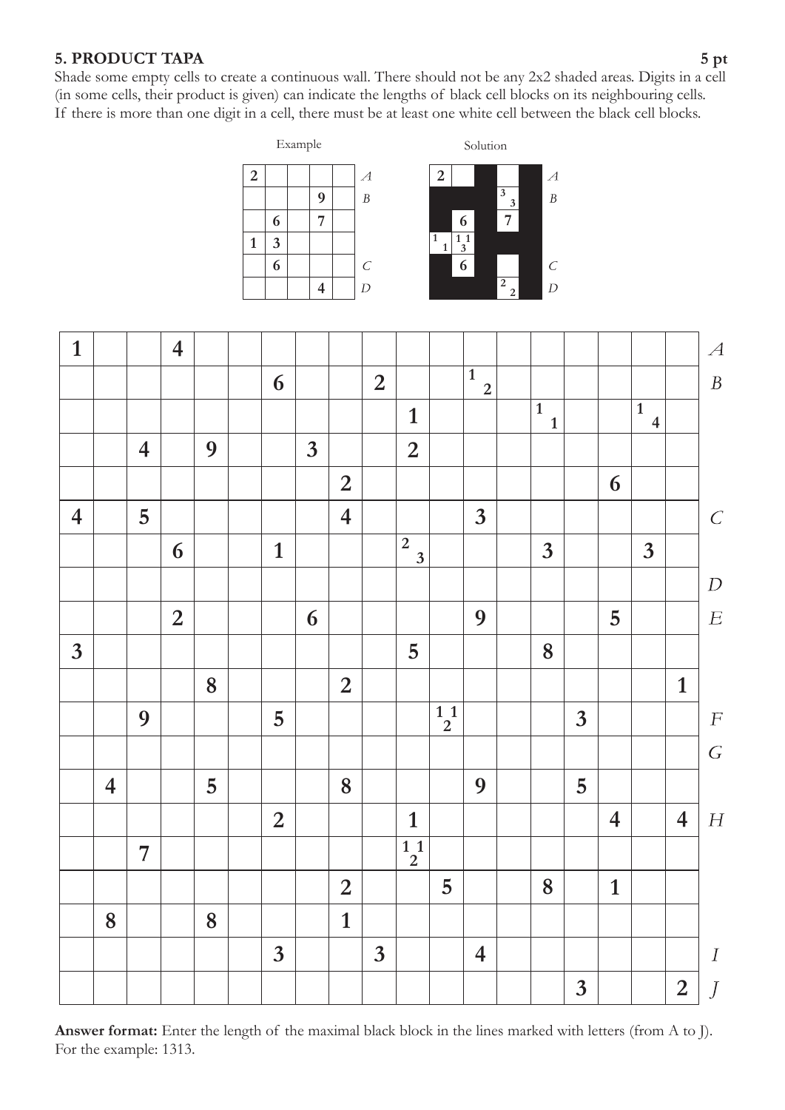# **5. PRODUCT TAPA 5 pt**

Shade some empty cells to create a continuous wall. There should not be any 2x2 shaded areas. Digits in a cell (in some cells, their product is given) can indicate the lengths of black cell blocks on its neighbouring cells. If there is more than one digit in a cell, there must be at least one white cell between the black cell blocks.







Answer format: Enter the length of the maximal black block in the lines marked with letters (from A to J). For the example: 1313.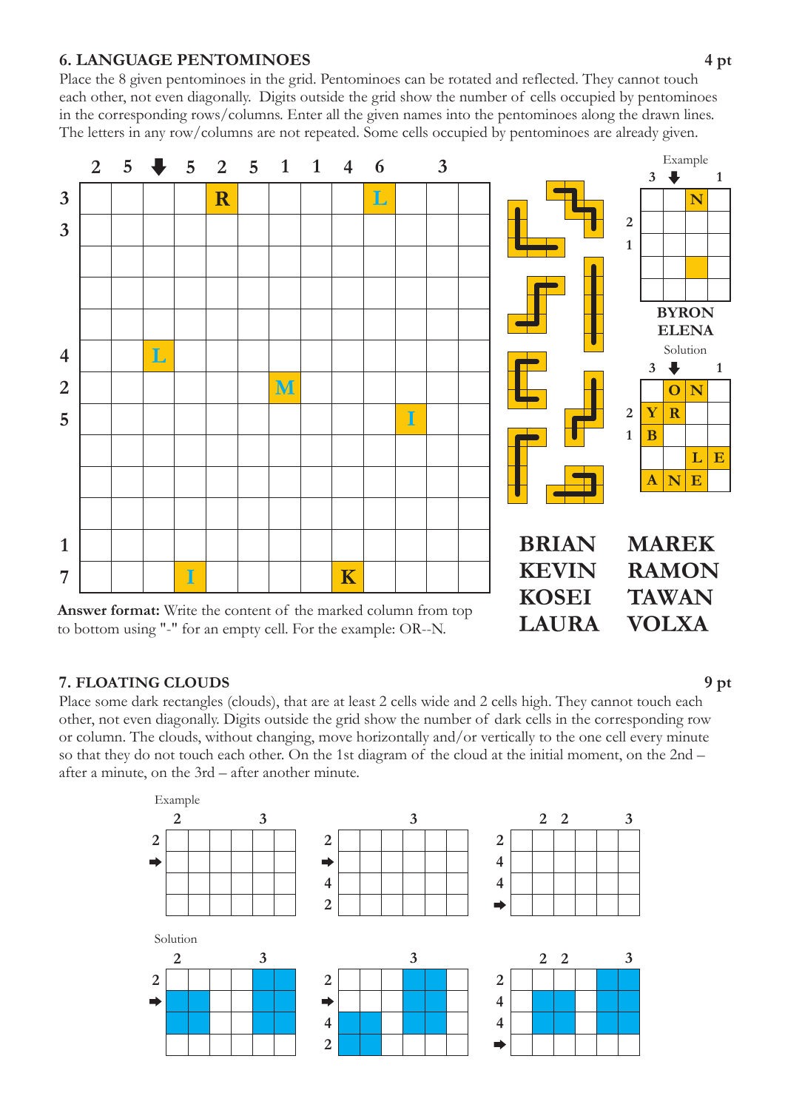# **6. LANGUAGE PENTOMINOES 4 pt**

Place the 8 given pentominoes in the grid. Pentominoes can be rotated and reflected. They cannot touch each other, not even diagonally. Digits outside the grid show the number of cells occupied by pentominoes in the corresponding rows/columns. Enter all the given names into the pentominoes along the drawn lines. The letters in any row/columns are not repeated. Some cells occupied by pentominoes are already given.



### **7. FLOATING CLOUDS 9 pt**

Place some dark rectangles (clouds), that are at least 2 cells wide and 2 cells high. They cannot touch each other, not even diagonally. Digits outside the grid show the number of dark cells in the corresponding row or column. The clouds, without changing, move horizontally and/or vertically to the one cell every minute so that they do not touch each other. On the 1st diagram of the cloud at the initial moment, on the 2nd – after a minute, on the 3rd – after another minute.

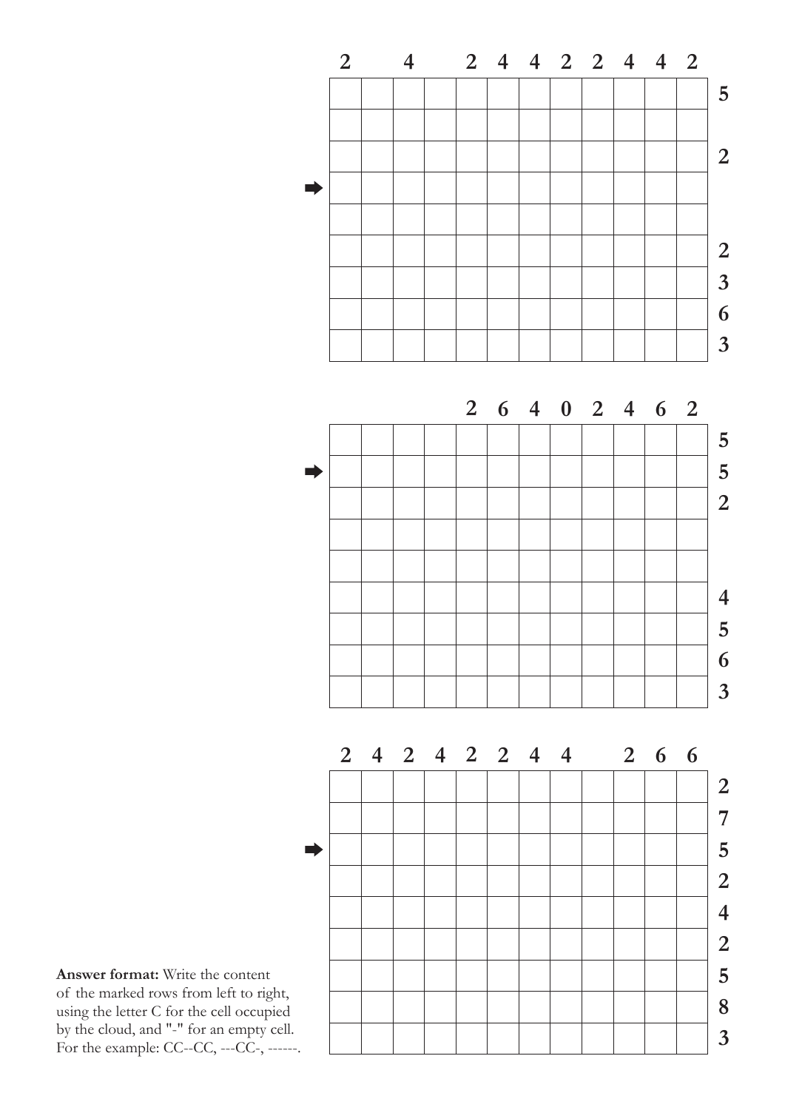

**Answer format:** Write the content of the marked rows from left to right, using the letter C for the cell occupied by the cloud, and "-" for an empty cell. For the example:  $CC$ - $CC$ , --- $CC$ , ------.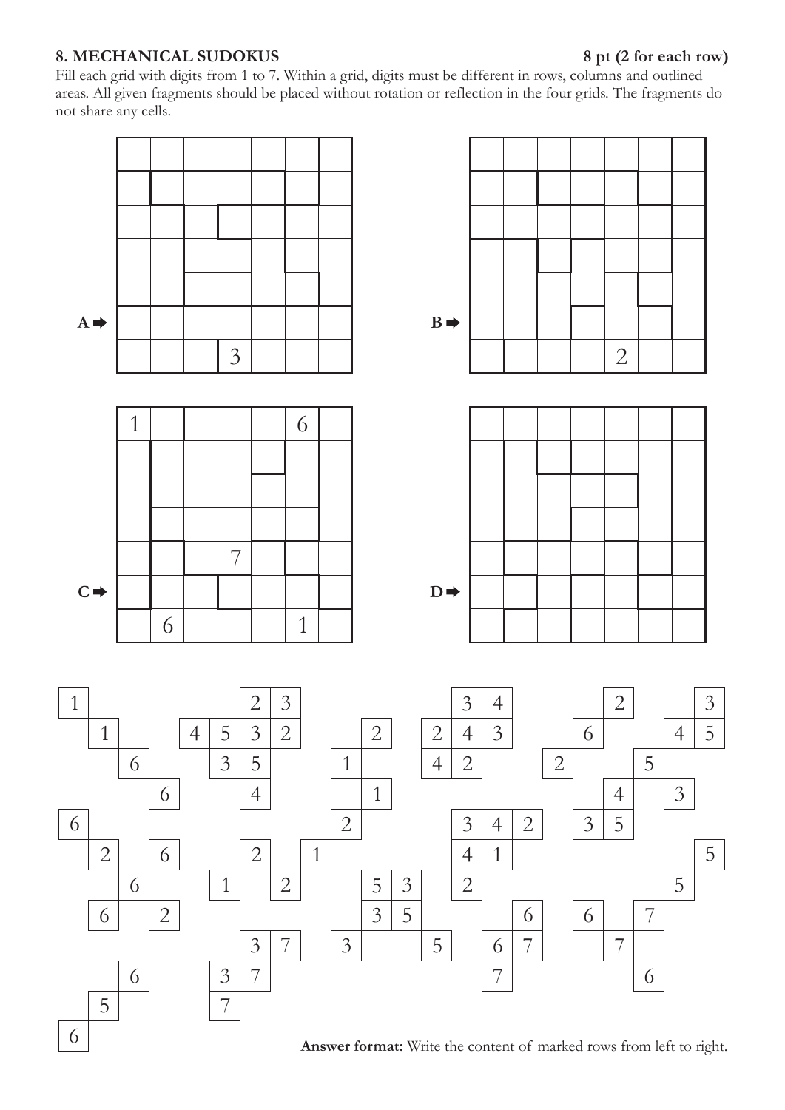# **8. MECHANICAL SUDOKUS 8 pt (2 for each row)**

Fill each grid with digits from 1 to 7. Within a grid, digits must be different in rows, columns and outlined areas. All given fragments should be placed without rotation or reflection in the four grids. The fragments do . not share any cells



**Answer format:** Write the content of marked rows from left to right.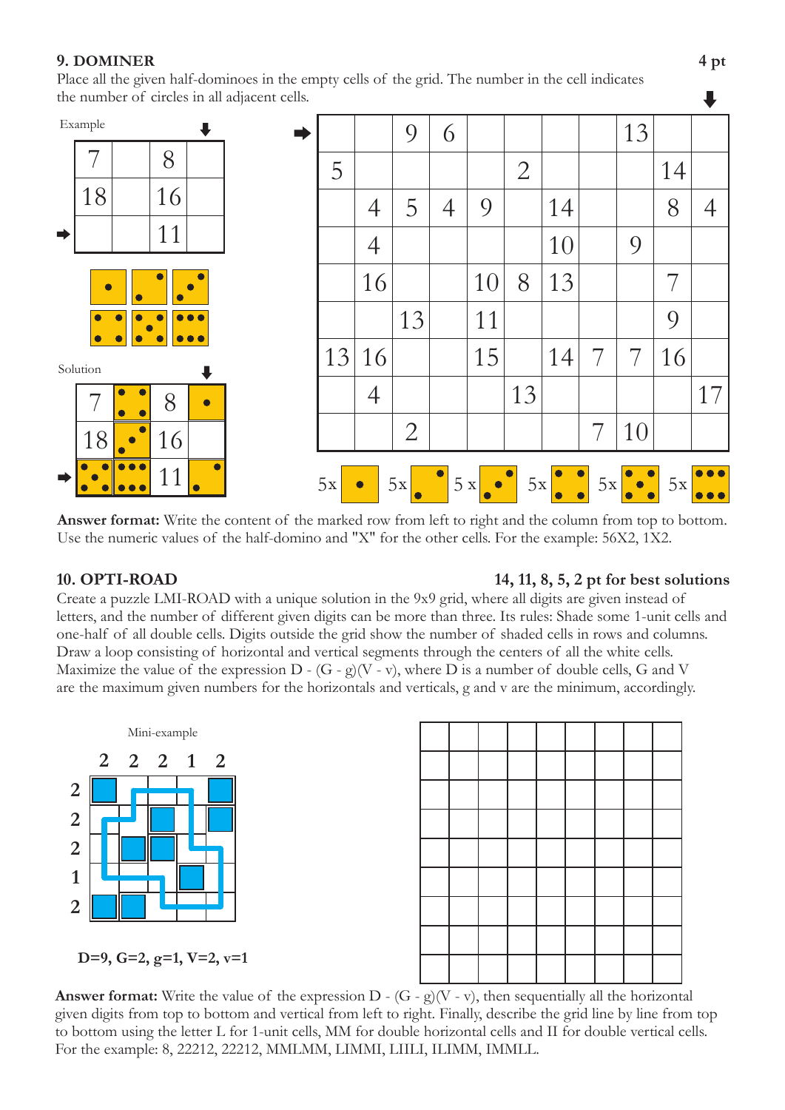# **9. DOMINER 4 pt**

Place all the given half-dominoes in the empty cells of the grid. The number in the cell indicates the number of circles in all adjacent cells.



**Answer format:** Write the content of the marked row from left to right and the column from top to bottom. Use the numeric values of the half-domino and "X" for the other cells. For the example: 56X2, 1X2.

# **10. OPTI-ROAD 14, 11, 8, 5, 2 pt** for **best solutions**

Maximize the value of the expression D -  $(G - g)(V - v)$ , where D is a number of double cells, G and V . are the maximum given numbers for the horizontals and verticals, g and v are the minimum, accordingly Create a puzzle LMI-ROAD with a unique solution in the 9x9 grid, where all digits are given instead of letters, and the number of different given digits can be more than three. Its rules: Shade some 1-unit cells and one-half of all double cells. Digits outside the grid show the number of shaded cells in rows and columns. Draw a loop consisting of horizontal and vertical segments through the centers of all the white cells.





**D=9, G=2, g=1, V=2, v=1**

**Answer format:** Write the value of the expression  $D - (G - g)(V - v)$ , then sequentially all the horizontal For the example: 8, 22212, 22212, MMLMM, LIMMI, LIILI, ILIMM, IMMLL. given digits from top to bottom and vertical from left to right. Finally, describe the grid line by line from top to bottom using the letter L for 1-unit cells, MM for double horizontal cells and II for double vertical cells.

J